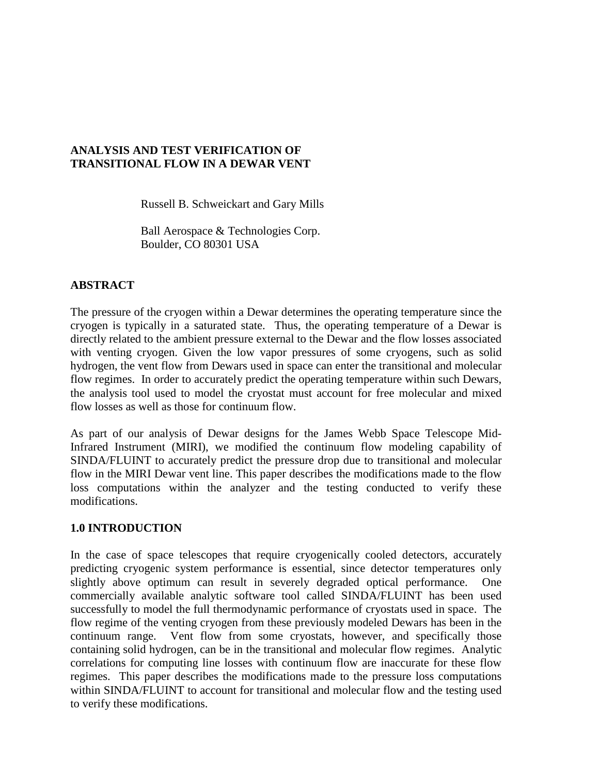# **ANALYSIS AND TEST VERIFICATION OF TRANSITIONAL FLOW IN A DEWAR VENT**

Russell B. Schweickart and Gary Mills

Ball Aerospace & Technologies Corp. Boulder, CO 80301 USA

# **ABSTRACT**

The pressure of the cryogen within a Dewar determines the operating temperature since the cryogen is typically in a saturated state. Thus, the operating temperature of a Dewar is directly related to the ambient pressure external to the Dewar and the flow losses associated with venting cryogen. Given the low vapor pressures of some cryogens, such as solid hydrogen, the vent flow from Dewars used in space can enter the transitional and molecular flow regimes. In order to accurately predict the operating temperature within such Dewars, the analysis tool used to model the cryostat must account for free molecular and mixed flow losses as well as those for continuum flow.

As part of our analysis of Dewar designs for the James Webb Space Telescope Mid-Infrared Instrument (MIRI), we modified the continuum flow modeling capability of SINDA/FLUINT to accurately predict the pressure drop due to transitional and molecular flow in the MIRI Dewar vent line. This paper describes the modifications made to the flow loss computations within the analyzer and the testing conducted to verify these modifications.

### **1.0 INTRODUCTION**

In the case of space telescopes that require cryogenically cooled detectors, accurately predicting cryogenic system performance is essential, since detector temperatures only slightly above optimum can result in severely degraded optical performance. One commercially available analytic software tool called SINDA/FLUINT has been used successfully to model the full thermodynamic performance of cryostats used in space. The flow regime of the venting cryogen from these previously modeled Dewars has been in the continuum range. Vent flow from some cryostats, however, and specifically those containing solid hydrogen, can be in the transitional and molecular flow regimes. Analytic correlations for computing line losses with continuum flow are inaccurate for these flow regimes. This paper describes the modifications made to the pressure loss computations within SINDA/FLUINT to account for transitional and molecular flow and the testing used to verify these modifications.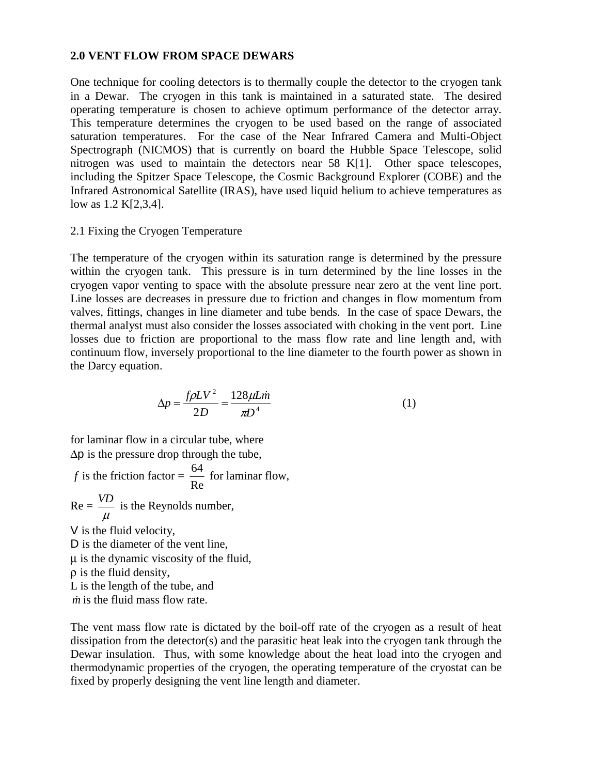#### **2.0 VENT FLOW FROM SPACE DEWARS**

One technique for cooling detectors is to thermally couple the detector to the cryogen tank in a Dewar. The cryogen in this tank is maintained in a saturated state. The desired operating temperature is chosen to achieve optimum performance of the detector array. This temperature determines the cryogen to be used based on the range of associated saturation temperatures. For the case of the Near Infrared Camera and Multi-Object Spectrograph (NICMOS) that is currently on board the Hubble Space Telescope, solid nitrogen was used to maintain the detectors near 58 K[1]. Other space telescopes, including the Spitzer Space Telescope, the Cosmic Background Explorer (COBE) and the Infrared Astronomical Satellite (IRAS), have used liquid helium to achieve temperatures as low as 1.2 K[2,3,4].

#### 2.1 Fixing the Cryogen Temperature

The temperature of the cryogen within its saturation range is determined by the pressure within the cryogen tank. This pressure is in turn determined by the line losses in the cryogen vapor venting to space with the absolute pressure near zero at the vent line port. Line losses are decreases in pressure due to friction and changes in flow momentum from valves, fittings, changes in line diameter and tube bends. In the case of space Dewars, the thermal analyst must also consider the losses associated with choking in the vent port. Line losses due to friction are proportional to the mass flow rate and line length and, with continuum flow, inversely proportional to the line diameter to the fourth power as shown in the Darcy equation.

$$
\Delta p = \frac{f\rho LV^2}{2D} = \frac{128\mu L\dot{m}}{\pi D^4} \tag{1}
$$

for laminar flow in a circular tube, where ∆p is the pressure drop through the tube,

*f* is the friction factor = Re  $\frac{64}{2}$  for laminar flow,  $Re =$  $\mu$  $VD$  is the Reynolds number, V is the fluid velocity, D is the diameter of the vent line, µ is the dynamic viscosity of the fluid, ρ is the fluid density, L is the length of the tube, and  $\dot{m}$  is the fluid mass flow rate.

The vent mass flow rate is dictated by the boil-off rate of the cryogen as a result of heat dissipation from the detector(s) and the parasitic heat leak into the cryogen tank through the Dewar insulation. Thus, with some knowledge about the heat load into the cryogen and thermodynamic properties of the cryogen, the operating temperature of the cryostat can be fixed by properly designing the vent line length and diameter.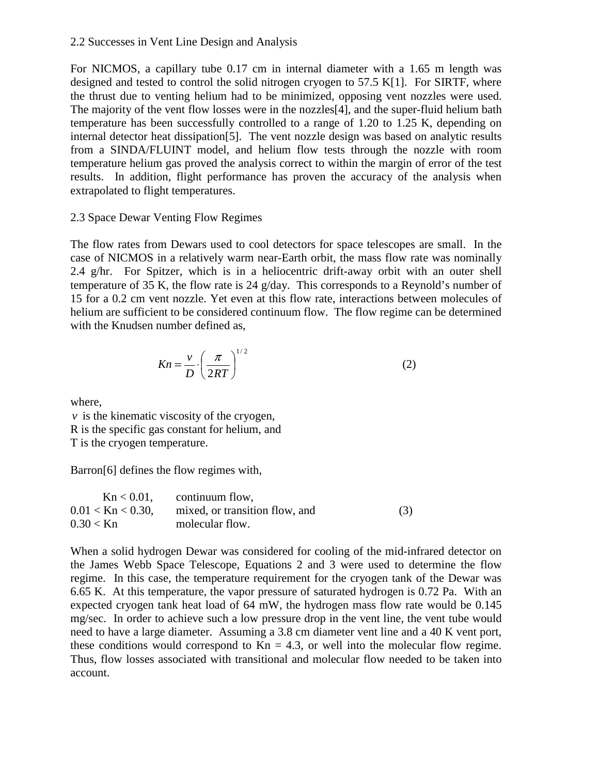### 2.2 Successes in Vent Line Design and Analysis

For NICMOS, a capillary tube 0.17 cm in internal diameter with a 1.65 m length was designed and tested to control the solid nitrogen cryogen to 57.5 K[1]. For SIRTF, where the thrust due to venting helium had to be minimized, opposing vent nozzles were used. The majority of the vent flow losses were in the nozzles[4], and the super-fluid helium bath temperature has been successfully controlled to a range of 1.20 to 1.25 K, depending on internal detector heat dissipation[5]. The vent nozzle design was based on analytic results from a SINDA/FLUINT model, and helium flow tests through the nozzle with room temperature helium gas proved the analysis correct to within the margin of error of the test results. In addition, flight performance has proven the accuracy of the analysis when extrapolated to flight temperatures.

# 2.3 Space Dewar Venting Flow Regimes

The flow rates from Dewars used to cool detectors for space telescopes are small. In the case of NICMOS in a relatively warm near-Earth orbit, the mass flow rate was nominally 2.4 g/hr. For Spitzer, which is in a heliocentric drift-away orbit with an outer shell temperature of 35 K, the flow rate is 24 g/day. This corresponds to a Reynold's number of 15 for a 0.2 cm vent nozzle. Yet even at this flow rate, interactions between molecules of helium are sufficient to be considered continuum flow. The flow regime can be determined with the Knudsen number defined as,

$$
Kn = \frac{v}{D} \cdot \left(\frac{\pi}{2RT}\right)^{1/2} \tag{2}
$$

where,

*v* is the kinematic viscosity of the cryogen, R is the specific gas constant for helium, and T is the cryogen temperature.

Barron[6] defines the flow regimes with,

| $Kn < 0.01$ ,          | continuum flow,                |     |
|------------------------|--------------------------------|-----|
| $0.01 <$ Kn $< 0.30$ , | mixed, or transition flow, and | (3) |
| $0.30 <$ Kn            | molecular flow.                |     |

When a solid hydrogen Dewar was considered for cooling of the mid-infrared detector on the James Webb Space Telescope, Equations 2 and 3 were used to determine the flow regime. In this case, the temperature requirement for the cryogen tank of the Dewar was 6.65 K. At this temperature, the vapor pressure of saturated hydrogen is 0.72 Pa. With an expected cryogen tank heat load of 64 mW, the hydrogen mass flow rate would be 0.145 mg/sec. In order to achieve such a low pressure drop in the vent line, the vent tube would need to have a large diameter. Assuming a 3.8 cm diameter vent line and a 40 K vent port, these conditions would correspond to  $Kn = 4.3$ , or well into the molecular flow regime. Thus, flow losses associated with transitional and molecular flow needed to be taken into account.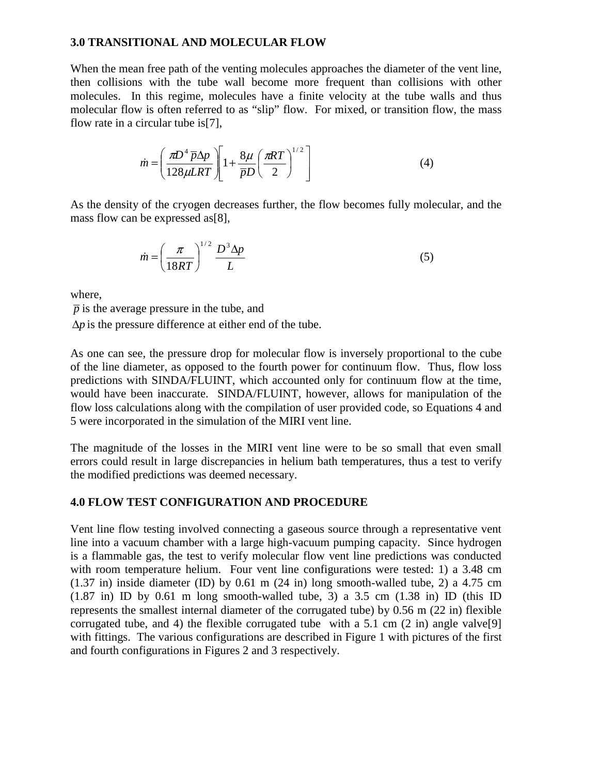## **3.0 TRANSITIONAL AND MOLECULAR FLOW**

When the mean free path of the venting molecules approaches the diameter of the vent line, then collisions with the tube wall become more frequent than collisions with other molecules. In this regime, molecules have a finite velocity at the tube walls and thus molecular flow is often referred to as "slip" flow. For mixed, or transition flow, the mass flow rate in a circular tube is[7],

$$
\dot{m} = \left(\frac{\pi D^4 \overline{p} \Delta p}{128 \mu LRT}\right) \left[1 + \frac{8\mu}{\overline{p}D} \left(\frac{\pi RT}{2}\right)^{1/2}\right]
$$
(4)

As the density of the cryogen decreases further, the flow becomes fully molecular, and the mass flow can be expressed as[8],

$$
\dot{m} = \left(\frac{\pi}{18RT}\right)^{1/2} \frac{D^3 \Delta p}{L} \tag{5}
$$

where,

 $\bar{p}$  is the average pressure in the tube, and

∆*p* is the pressure difference at either end of the tube.

As one can see, the pressure drop for molecular flow is inversely proportional to the cube of the line diameter, as opposed to the fourth power for continuum flow. Thus, flow loss predictions with SINDA/FLUINT, which accounted only for continuum flow at the time, would have been inaccurate. SINDA/FLUINT, however, allows for manipulation of the flow loss calculations along with the compilation of user provided code, so Equations 4 and 5 were incorporated in the simulation of the MIRI vent line.

The magnitude of the losses in the MIRI vent line were to be so small that even small errors could result in large discrepancies in helium bath temperatures, thus a test to verify the modified predictions was deemed necessary.

# **4.0 FLOW TEST CONFIGURATION AND PROCEDURE**

Vent line flow testing involved connecting a gaseous source through a representative vent line into a vacuum chamber with a large high-vacuum pumping capacity. Since hydrogen is a flammable gas, the test to verify molecular flow vent line predictions was conducted with room temperature helium. Four vent line configurations were tested: 1) a 3.48 cm (1.37 in) inside diameter (ID) by 0.61 m (24 in) long smooth-walled tube, 2) a 4.75 cm  $(1.87 \text{ in})$  ID by 0.61 m long smooth-walled tube, 3) a 3.5 cm  $(1.38 \text{ in})$  ID (this ID represents the smallest internal diameter of the corrugated tube) by 0.56 m (22 in) flexible corrugated tube, and 4) the flexible corrugated tube with a 5.1 cm (2 in) angle valve[9] with fittings. The various configurations are described in Figure 1 with pictures of the first and fourth configurations in Figures 2 and 3 respectively.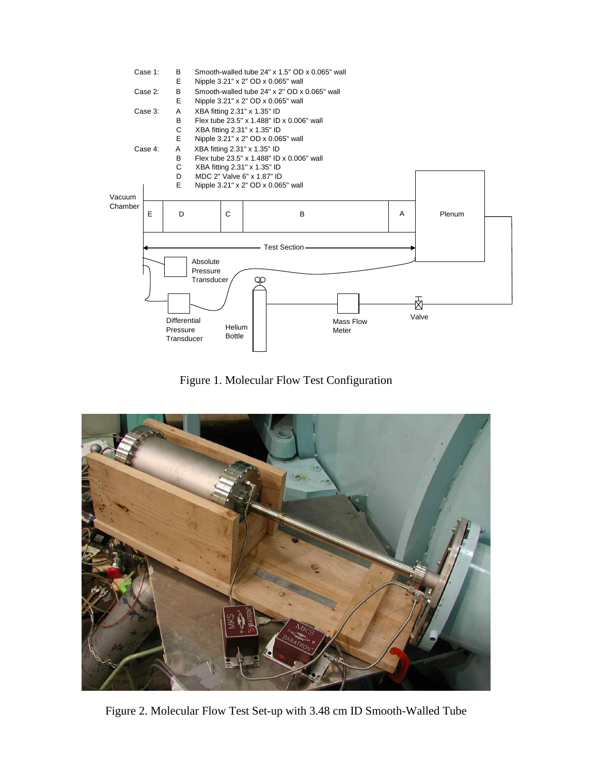

Figure 1. Molecular Flow Test Configuration



Figure 2. Molecular Flow Test Set-up with 3.48 cm ID Smooth-Walled Tube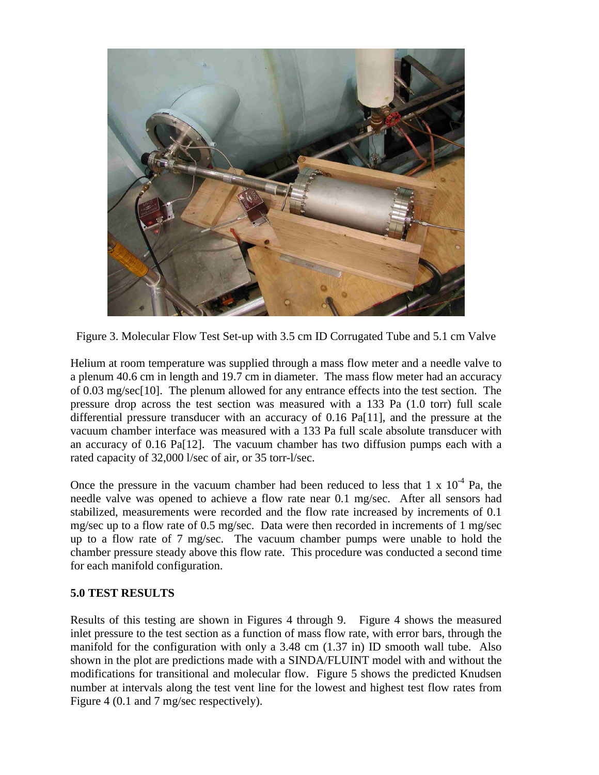

Figure 3. Molecular Flow Test Set-up with 3.5 cm ID Corrugated Tube and 5.1 cm Valve

Helium at room temperature was supplied through a mass flow meter and a needle valve to a plenum 40.6 cm in length and 19.7 cm in diameter. The mass flow meter had an accuracy of 0.03 mg/sec[10]. The plenum allowed for any entrance effects into the test section. The pressure drop across the test section was measured with a 133 Pa (1.0 torr) full scale differential pressure transducer with an accuracy of 0.16 Pa[11], and the pressure at the vacuum chamber interface was measured with a 133 Pa full scale absolute transducer with an accuracy of 0.16 Pa[12]. The vacuum chamber has two diffusion pumps each with a rated capacity of 32,000 l/sec of air, or 35 torr-l/sec.

Once the pressure in the vacuum chamber had been reduced to less that 1 x  $10^{-4}$  Pa, the needle valve was opened to achieve a flow rate near 0.1 mg/sec. After all sensors had stabilized, measurements were recorded and the flow rate increased by increments of 0.1 mg/sec up to a flow rate of 0.5 mg/sec. Data were then recorded in increments of 1 mg/sec up to a flow rate of 7 mg/sec. The vacuum chamber pumps were unable to hold the chamber pressure steady above this flow rate. This procedure was conducted a second time for each manifold configuration.

### **5.0 TEST RESULTS**

Results of this testing are shown in Figures 4 through 9. Figure 4 shows the measured inlet pressure to the test section as a function of mass flow rate, with error bars, through the manifold for the configuration with only a 3.48 cm (1.37 in) ID smooth wall tube. Also shown in the plot are predictions made with a SINDA/FLUINT model with and without the modifications for transitional and molecular flow. Figure 5 shows the predicted Knudsen number at intervals along the test vent line for the lowest and highest test flow rates from Figure 4 (0.1 and 7 mg/sec respectively).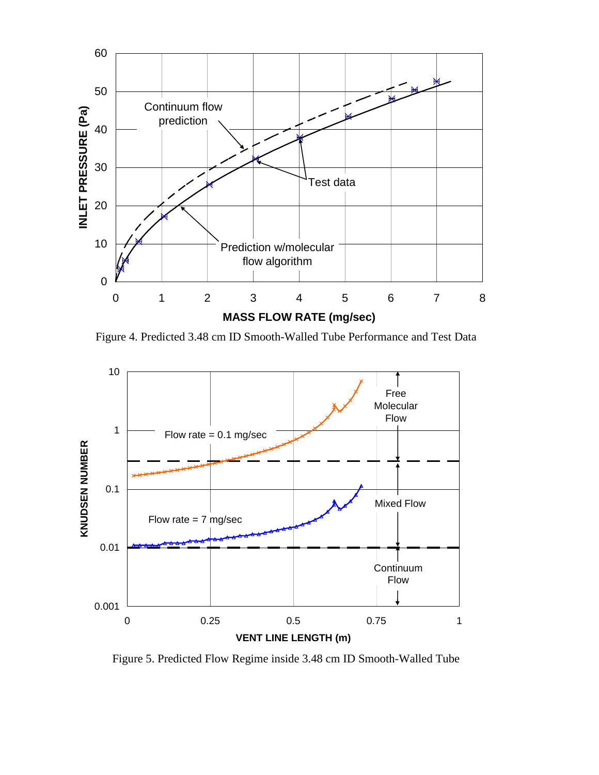

Figure 4. Predicted 3.48 cm ID Smooth-Walled Tube Performance and Test Data



Figure 5. Predicted Flow Regime inside 3.48 cm ID Smooth-Walled Tube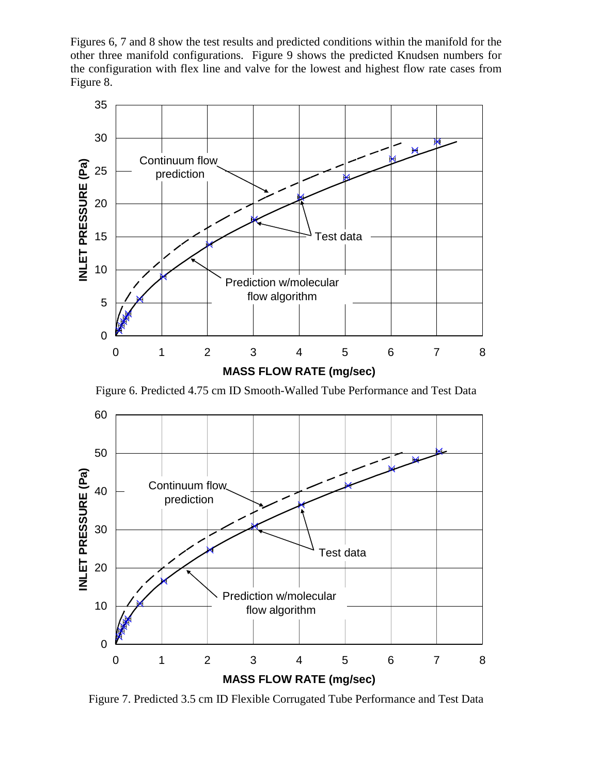Figures 6, 7 and 8 show the test results and predicted conditions within the manifold for the other three manifold configurations. Figure 9 shows the predicted Knudsen numbers for the configuration with flex line and valve for the lowest and highest flow rate cases from Figure 8.



Figure 6. Predicted 4.75 cm ID Smooth-Walled Tube Performance and Test Data



Figure 7. Predicted 3.5 cm ID Flexible Corrugated Tube Performance and Test Data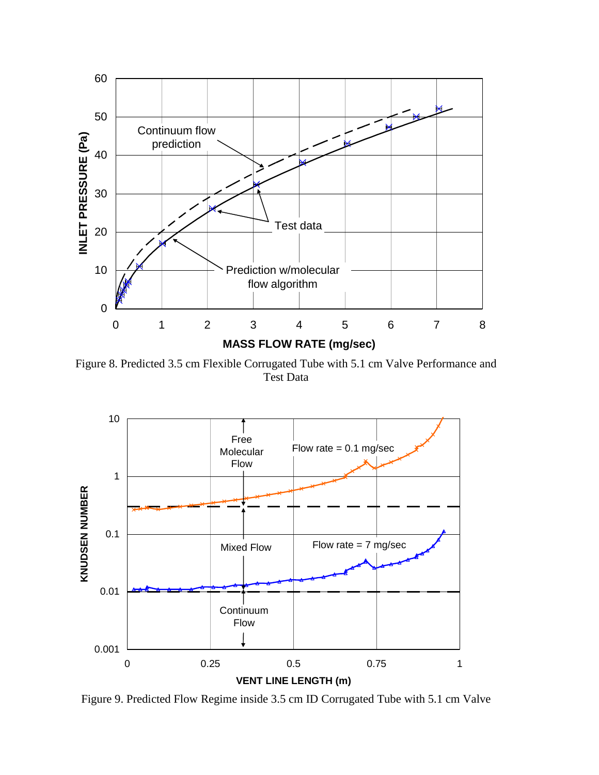

Figure 8. Predicted 3.5 cm Flexible Corrugated Tube with 5.1 cm Valve Performance and Test Data



Figure 9. Predicted Flow Regime inside 3.5 cm ID Corrugated Tube with 5.1 cm Valve